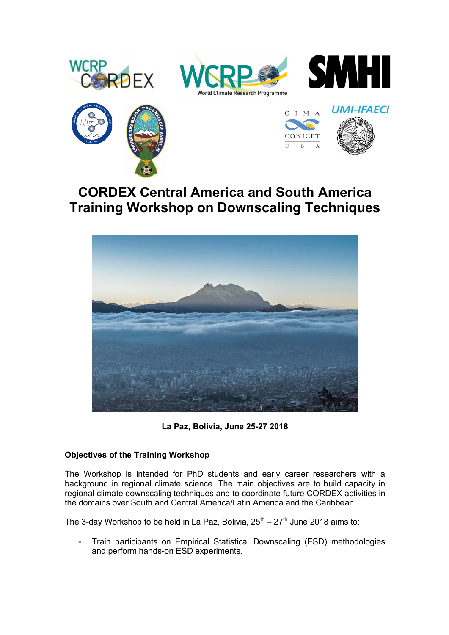









# **CORDEX Central America and South America Training Workshop on Downscaling Techniques**



**La Paz, Bolivia, June 25-27 2018**

## **Objectives of the Training Workshop**

The Workshop is intended for PhD students and early career researchers with a background in regional climate science. The main objectives are to build capacity in regional climate downscaling techniques and to coordinate future CORDEX activities in the domains over South and Central America/Latin America and the Caribbean.

The 3-day Workshop to be held in La Paz, Bolivia,  $25^{th} - 27^{th}$  June 2018 aims to:

- Train participants on Empirical Statistical Downscaling (ESD) methodologies and perform hands-on ESD experiments.